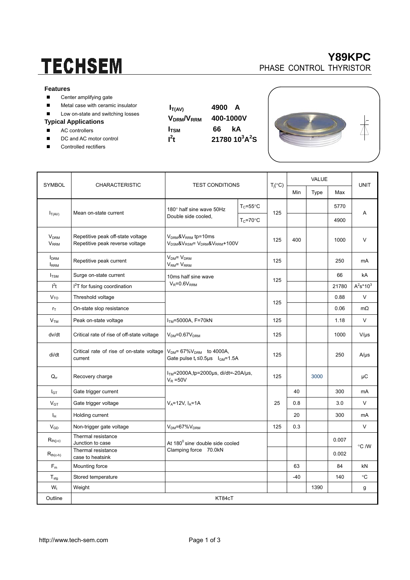# **TECHSEM**

#### **Features**

- Center amplifying gate
- **Metal case with ceramic insulator**
- Low on-state and switching losses

### **Typical Applications**

- AC controllers
- DC and AC motor control
- Controlled rectifiers

| $\mathsf{V}_{\mathsf{DRM}}\!\mathsf{N}_{\mathsf{R}}$ |
|------------------------------------------------------|
| <b>I</b> <sub>TSM</sub>                              |
| $l^2t$                                               |

 $I_{T(AV)}$  4900 A **VDRM/VRRM 400-1000V ITSM 66 kA**   $21780 \ 10^3 A^2 S$ 





|                                                   | <b>CHARACTERISTIC</b>                                                | <b>TEST CONDITIONS</b>                                                                                   |                      | $T_j({}^{\circ}C)$ | <b>VALUE</b> |      |       |              |  |
|---------------------------------------------------|----------------------------------------------------------------------|----------------------------------------------------------------------------------------------------------|----------------------|--------------------|--------------|------|-------|--------------|--|
| <b>SYMBOL</b>                                     |                                                                      |                                                                                                          |                      |                    | Min          | Type | Max   | <b>UNIT</b>  |  |
| $I_{T(AV)}$                                       | Mean on-state current                                                | 180° half sine wave 50Hz<br>Double side cooled,                                                          | $T_c = 55^{\circ}$ C | 125                |              |      | 5770  | A            |  |
|                                                   |                                                                      |                                                                                                          | $T_c = 70$ °C        |                    |              |      | 4900  |              |  |
| <b>V<sub>DRM</sub></b><br><b>V</b> <sub>RRM</sub> | Repetitive peak off-state voltage<br>Repetitive peak reverse voltage | $VDRM$ & $VRRM$ tp=10ms<br>V <sub>DSM</sub> &V <sub>RSM</sub> = V <sub>DRM</sub> &V <sub>RRM</sub> +100V |                      | 125                | 400          |      | 1000  | V            |  |
| <b>I</b> <sub>DRM</sub><br><b>IRRM</b>            | Repetitive peak current                                              | $VDM = VDRM$<br>$VRM = VRRM$                                                                             |                      | 125                |              |      | 250   | mA           |  |
| $I_{TSM}$                                         | Surge on-state current                                               | 10ms half sine wave<br>$V_R = 0.6V_{RRM}$                                                                |                      | 125                |              |      | 66    | kA           |  |
| l <sup>2</sup> t                                  | $I2T$ for fusing coordination                                        |                                                                                                          |                      |                    |              |      | 21780 | $A^2s^*10^3$ |  |
| V <sub>TO</sub>                                   | Threshold voltage                                                    |                                                                                                          |                      | 125                |              |      | 0.88  | $\vee$       |  |
| $r_T$                                             | On-state slop resistance                                             |                                                                                                          |                      |                    |              |      | 0.06  | $m\Omega$    |  |
| V <sub>TM</sub>                                   | Peak on-state voltage                                                | $ITM=5000A, F=70kN$                                                                                      |                      | 125                |              |      | 1.18  | $\vee$       |  |
| dv/dt                                             | Critical rate of rise of off-state voltage                           | $V_{DM} = 0.67 V_{DRM}$                                                                                  |                      | 125                |              |      | 1000  | $V/\mu s$    |  |
| di/dt                                             | Critical rate of rise of on-state voltage<br>current                 | $V_{DM}$ = 67% $V_{DRM}$ to 4000A,<br>Gate pulse $t_r \le 0.5$ µs $I_{GM} = 1.5$ A                       |                      | 125                |              |      | 250   | $A/\mu s$    |  |
| $Q_{rr}$                                          | Recovery charge                                                      | $ITM=2000A$ , tp=2000µs, di/dt=-20A/µs,<br>$V_R = 50V$                                                   |                      | 125                |              | 3000 |       | μC           |  |
| $I_{GT}$                                          | Gate trigger current                                                 | $V_A = 12V, I_A = 1A$                                                                                    |                      | 25                 | 40           |      | 300   | mA           |  |
| $V_{GT}$                                          | Gate trigger voltage                                                 |                                                                                                          |                      |                    | 0.8          |      | 3.0   | V            |  |
| Iн                                                | Holding current                                                      |                                                                                                          |                      |                    | 20           |      | 300   | mA           |  |
| $\mathsf{V}_{\mathsf{GD}}$                        | Non-trigger gate voltage                                             | $V_{DM} = 67\%V_{DRM}$                                                                                   |                      | 125                | 0.3          |      |       | $\vee$       |  |
| $R_{th(j-c)}$                                     | Thermal resistance<br>Junction to case                               | At 180° sine double side cooled<br>Clamping force 70.0kN                                                 |                      |                    |              |      | 0.007 | °C /W        |  |
| $R_{th(c-h)}$                                     | Thermal resistance<br>case to heatsink                               |                                                                                                          |                      |                    |              |      | 0.002 |              |  |
| $F_m$                                             | Mounting force                                                       |                                                                                                          |                      |                    | 63           |      | 84    | kN           |  |
| $T_{\text{stg}}$                                  | Stored temperature                                                   |                                                                                                          |                      |                    | $-40$        |      | 140   | °C           |  |
| $W_t$                                             | Weight                                                               |                                                                                                          |                      |                    |              | 1390 |       | g            |  |
| Outline                                           | KT84cT                                                               |                                                                                                          |                      |                    |              |      |       |              |  |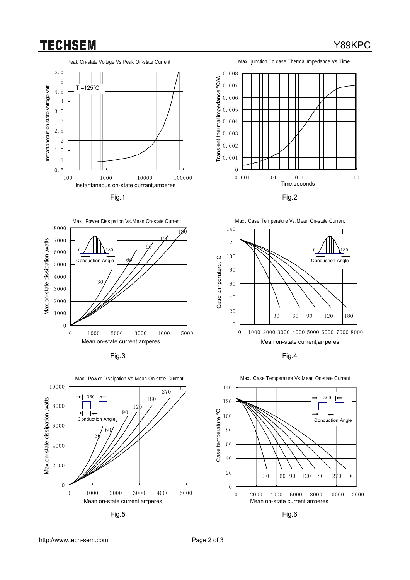## **TECHSEM**